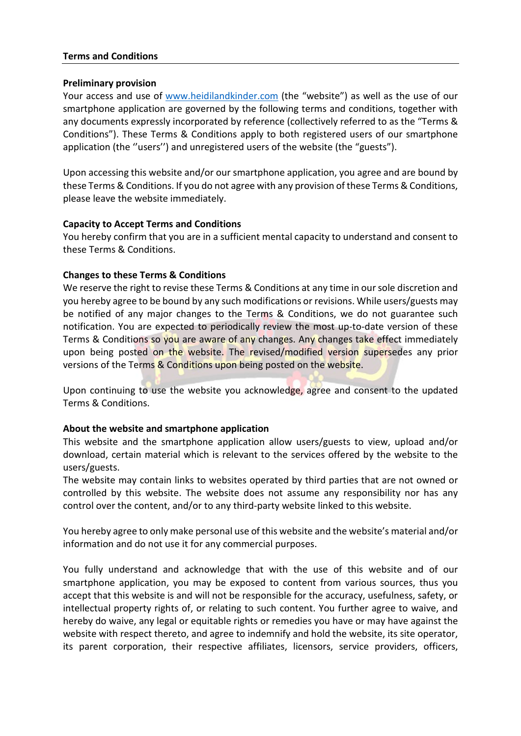## **Terms and Conditions**

### **Preliminary provision**

Your access and use of [www.heidilandkinder.com](http://www.heidilandkinder.com/) (the "website") as well as the use of our smartphone application are governed by the following terms and conditions, together with any documents expressly incorporated by reference (collectively referred to as the "Terms & Conditions"). These Terms & Conditions apply to both registered users of our smartphone application (the ''users'') and unregistered users of the website (the "guests").

Upon accessing this website and/or our smartphone application, you agree and are bound by these Terms & Conditions. If you do not agree with any provision of these Terms & Conditions, please leave the website immediately.

# **Capacity to Accept Terms and Conditions**

You hereby confirm that you are in a sufficient mental capacity to understand and consent to these Terms & Conditions.

# **Changes to these Terms & Conditions**

We reserve the right to revise these Terms & Conditions at any time in our sole discretion and you hereby agree to be bound by any such modifications or revisions. While users/guests may be notified of any major changes to the Terms & Conditions, we do not guarantee such notification. You are expected to periodically review the most up-to-date version of these Terms & Conditions so you are aware of any changes. Any changes take effect immediately upon being posted on the website. The revised/modified version supersedes any prior versions of the Terms & Conditions upon being posted on the website.

Upon continuing to use the website you acknowledge, agree and consent to the updated Terms & Conditions.

# **About the website and smartphone application**

This website and the smartphone application allow users/guests to view, upload and/or download, certain material which is relevant to the services offered by the website to the users/guests.

The website may contain links to websites operated by third parties that are not owned or controlled by this website. The website does not assume any responsibility nor has any control over the content, and/or to any third-party website linked to this website.

You hereby agree to only make personal use of this website and the website's material and/or information and do not use it for any commercial purposes.

You fully understand and acknowledge that with the use of this website and of our smartphone application, you may be exposed to content from various sources, thus you accept that this website is and will not be responsible for the accuracy, usefulness, safety, or intellectual property rights of, or relating to such content. You further agree to waive, and hereby do waive, any legal or equitable rights or remedies you have or may have against the website with respect thereto, and agree to indemnify and hold the website, its site operator, its parent corporation, their respective affiliates, licensors, service providers, officers,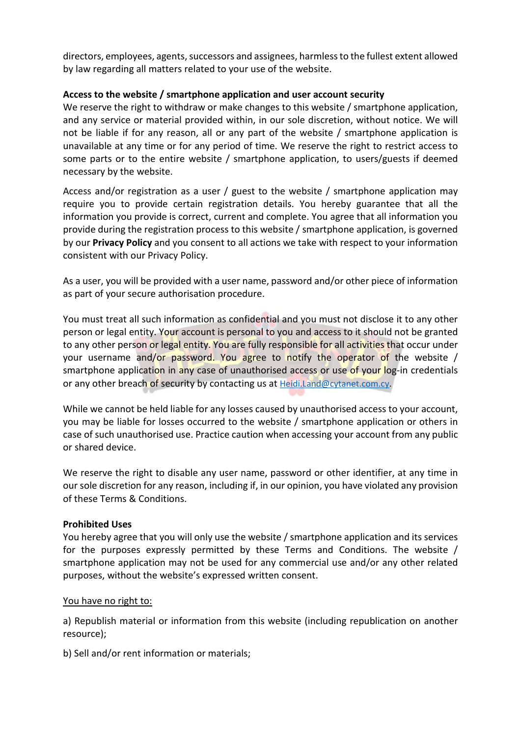directors, employees, agents, successors and assignees, harmless to the fullest extent allowed by law regarding all matters related to your use of the website.

# **Access to the website / smartphone application and user account security**

We reserve the right to withdraw or make changes to this website / smartphone application, and any service or material provided within, in our sole discretion, without notice. We will not be liable if for any reason, all or any part of the website / smartphone application is unavailable at any time or for any period of time. We reserve the right to restrict access to some parts or to the entire website / smartphone application, to users/guests if deemed necessary by the website.

Access and/or registration as a user / guest to the website / smartphone application may require you to provide certain registration details. You hereby guarantee that all the information you provide is correct, current and complete. You agree that all information you provide during the registration process to this website / smartphone application, is governed by our **Privacy Policy** and you consent to all actions we take with respect to your information consistent with our Privacy Policy.

As a user, you will be provided with a user name, password and/or other piece of information as part of your secure authorisation procedure.

You must treat all such information as confidential and you must not disclose it to any other person or legal entity. Your account is personal to you and access to it should not be granted to any other person or legal entity. You are fully responsible for all activities that occur under your username and/or password. You agree to notify the operator of the website / smartphone application in any case of unauthorised access or use of your log-in credentials or any other breach of security by contacting us a[t Heidi.Land@cytanet.com.cy.](mailto:Heidi.Land@cytanet.com.cy)

While we cannot be held liable for any losses caused by unauthorised access to your account, you may be liable for losses occurred to the website / smartphone application or others in case of such unauthorised use. Practice caution when accessing your account from any public or shared device.

We reserve the right to disable any user name, password or other identifier, at any time in our sole discretion for any reason, including if, in our opinion, you have violated any provision of these Terms & Conditions.

# **Prohibited Uses**

You hereby agree that you will only use the website / smartphone application and its services for the purposes expressly permitted by these Terms and Conditions. The website / smartphone application may not be used for any commercial use and/or any other related purposes, without the website's expressed written consent.

# You have no right to:

a) Republish material or information from this website (including republication on another resource);

b) Sell and/or rent information or materials;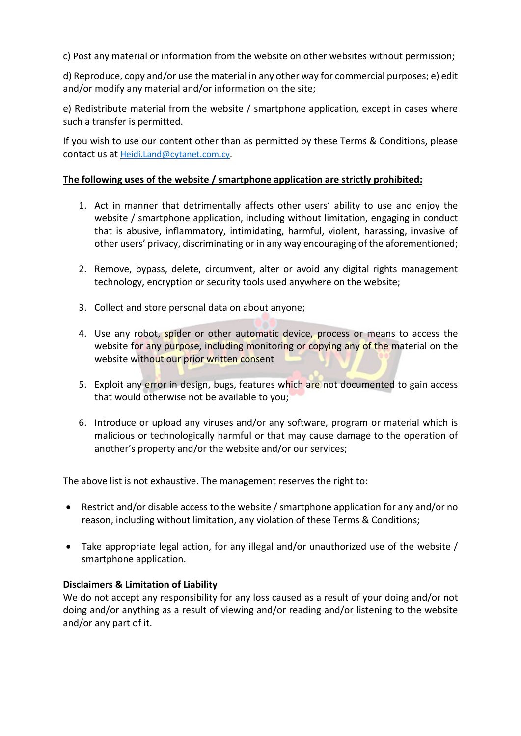c) Post any material or information from the website on other websites without permission;

d) Reproduce, copy and/or use the material in any other way for commercial purposes; e) edit and/or modify any material and/or information on the site;

e) Redistribute material from the website / smartphone application, except in cases where such a transfer is permitted.

If you wish to use our content other than as permitted by these Terms & Conditions, please contact us at [Heidi.Land@cytanet.com.cy.](mailto:Heidi.Land@cytanet.com.cy)

# **The following uses of the website / smartphone application are strictly prohibited:**

- 1. Act in manner that detrimentally affects other users' ability to use and enjoy the website / smartphone application, including without limitation, engaging in conduct that is abusive, inflammatory, intimidating, harmful, violent, harassing, invasive of other users' privacy, discriminating or in any way encouraging of the aforementioned;
- 2. Remove, bypass, delete, circumvent, alter or avoid any digital rights management technology, encryption or security tools used anywhere on the website;
- 3. Collect and store personal data on about anyone;
- 4. Use any robot, spider or other automatic device, process or means to access the website for any purpose, including monitoring or copying any of the material on the website without our prior written consent
- 5. Exploit any error in design, bugs, features which are not documented to gain access that would otherwise not be available to you;
- 6. Introduce or upload any viruses and/or any software, program or material which is malicious or technologically harmful or that may cause damage to the operation of another's property and/or the website and/or our services;

The above list is not exhaustive. The management reserves the right to:

- Restrict and/or disable access to the website / smartphone application for any and/or no reason, including without limitation, any violation of these Terms & Conditions;
- Take appropriate legal action, for any illegal and/or unauthorized use of the website / smartphone application.

# **Disclaimers & Limitation of Liability**

We do not accept any responsibility for any loss caused as a result of your doing and/or not doing and/or anything as a result of viewing and/or reading and/or listening to the website and/or any part of it.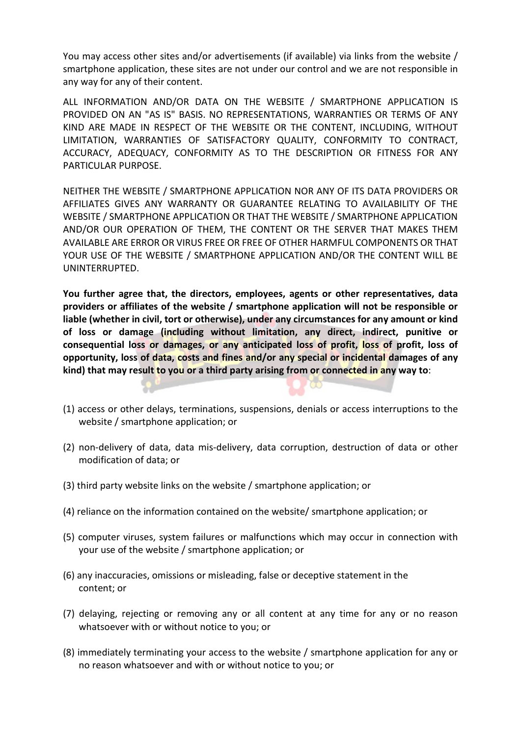You may access other sites and/or advertisements (if available) via links from the website / smartphone application, these sites are not under our control and we are not responsible in any way for any of their content.

ALL INFORMATION AND/OR DATA ON THE WEBSITE / SMARTPHONE APPLICATION IS PROVIDED ON AN "AS IS" BASIS. NO REPRESENTATIONS, WARRANTIES OR TERMS OF ANY KIND ARE MADE IN RESPECT OF THE WEBSITE OR THE CONTENT, INCLUDING, WITHOUT LIMITATION, WARRANTIES OF SATISFACTORY QUALITY, CONFORMITY TO CONTRACT, ACCURACY, ADEQUACY, CONFORMITY AS TO THE DESCRIPTION OR FITNESS FOR ANY PARTICULAR PURPOSE.

NEITHER THE WEBSITE / SMARTPHONE APPLICATION NOR ANY OF ITS DATA PROVIDERS OR AFFILIATES GIVES ANY WARRANTY OR GUARANTEE RELATING TO AVAILABILITY OF THE WEBSITE / SMARTPHONE APPLICATION OR THAT THE WEBSITE / SMARTPHONE APPLICATION AND/OR OUR OPERATION OF THEM, THE CONTENT OR THE SERVER THAT MAKES THEM AVAILABLE ARE ERROR OR VIRUS FREE OR FREE OF OTHER HARMFUL COMPONENTS OR THAT YOUR USE OF THE WEBSITE / SMARTPHONE APPLICATION AND/OR THE CONTENT WILL BE UNINTERRUPTED.

**You further agree that, the directors, employees, agents or other representatives, data providers or affiliates of the website / smartphone application will not be responsible or liable (whether in civil, tort or otherwise), under any circumstances for any amount or kind of loss or damage (including without limitation, any direct, indirect, punitive or consequential loss or damages, or any anticipated loss of profit, loss of profit, loss of opportunity, loss of data, costs and fines and/or any special or incidental damages of any kind) that may result to you or a third party arising from or connected in any way to**:

- (1) access or other delays, terminations, suspensions, denials or access interruptions to the website / smartphone application; or
- (2) non-delivery of data, data mis-delivery, data corruption, destruction of data or other modification of data; or
- (3) third party website links on the website / smartphone application; or
- (4) reliance on the information contained on the website/ smartphone application; or
- (5) computer viruses, system failures or malfunctions which may occur in connection with your use of the website / smartphone application; or
- (6) any inaccuracies, omissions or misleading, false or deceptive statement in the content; or
- (7) delaying, rejecting or removing any or all content at any time for any or no reason whatsoever with or without notice to you; or
- (8) immediately terminating your access to the website / smartphone application for any or no reason whatsoever and with or without notice to you; or